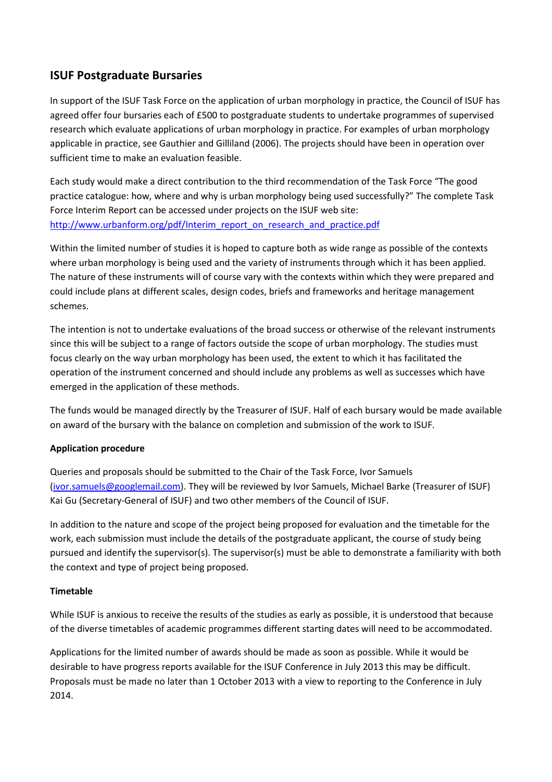# **ISUF Postgraduate Bursaries**

In support of the ISUF Task Force on the application of urban morphology in practice, the Council of ISUF has agreed offer four bursaries each of £500 to postgraduate students to undertake programmes of supervised research which evaluate applications of urban morphology in practice. For examples of urban morphology applicable in practice, see Gauthier and Gilliland (2006). The projects should have been in operation over sufficient time to make an evaluation feasible.

Each study would make a direct contribution to the third recommendation of the Task Force "The good practice catalogue: how, where and why is urban morphology being used successfully?" The complete Task Force Interim Report can be accessed under projects on the ISUF web site: http://www.urbanform.org/pdf/Interim\_report\_on\_research\_and\_practice.pdf

Within the limited number of studies it is hoped to capture both as wide range as possible of the contexts where urban morphology is being used and the variety of instruments through which it has been applied. The nature of these instruments will of course vary with the contexts within which they were prepared and could include plans at different scales, design codes, briefs and frameworks and heritage management schemes.

The intention is not to undertake evaluations of the broad success or otherwise of the relevant instruments since this will be subject to a range of factors outside the scope of urban morphology. The studies must focus clearly on the way urban morphology has been used, the extent to which it has facilitated the operation of the instrument concerned and should include any problems as well as successes which have emerged in the application of these methods.

The funds would be managed directly by the Treasurer of ISUF. Half of each bursary would be made available on award of the bursary with the balance on completion and submission of the work to ISUF.

# **Application procedure**

Queries and proposals should be submitted to the Chair of the Task Force, Ivor Samuels (ivor.samuels@googlemail.com). They will be reviewed by Ivor Samuels, Michael Barke (Treasurer of ISUF) Kai Gu (Secretary-General of ISUF) and two other members of the Council of ISUF.

In addition to the nature and scope of the project being proposed for evaluation and the timetable for the work, each submission must include the details of the postgraduate applicant, the course of study being pursued and identify the supervisor(s). The supervisor(s) must be able to demonstrate a familiarity with both the context and type of project being proposed.

#### **Timetable**

While ISUF is anxious to receive the results of the studies as early as possible, it is understood that because of the diverse timetables of academic programmes different starting dates will need to be accommodated.

Applications for the limited number of awards should be made as soon as possible. While it would be desirable to have progress reports available for the ISUF Conference in July 2013 this may be difficult. Proposals must be made no later than 1 October 2013 with a view to reporting to the Conference in July 2014.